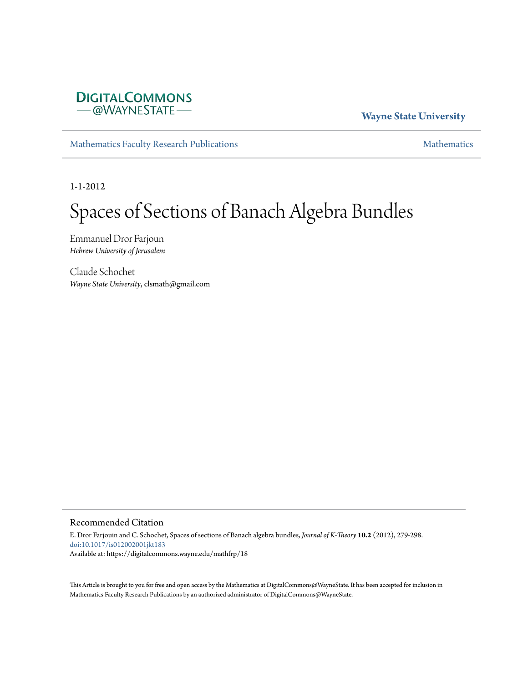

# **Wayne State University**

[Mathematics Faculty Research Publications](https://digitalcommons.wayne.edu/mathfrp) **[Mathematics](https://digitalcommons.wayne.edu/math)** Mathematics

1-1-2012

# Spaces of Sections of Banach Algebra Bundles

Emmanuel Dror Farjoun *Hebrew University of Jerusalem*

Claude Schochet *Wayne State University*, clsmath@gmail.com

## Recommended Citation

E. Dror Farjouin and C. Schochet, Spaces of sections of Banach algebra bundles, *Journal of K-Theory* **10.2** (2012), 279-298. doi:10.1017/is012002001jkt183 Available at: https://digitalcommons.wayne.edu/mathfrp/18

This Article is brought to you for free and open access by the Mathematics at DigitalCommons@WayneState. It has been accepted for inclusion in Mathematics Faculty Research Publications by an authorized administrator of DigitalCommons@WayneState.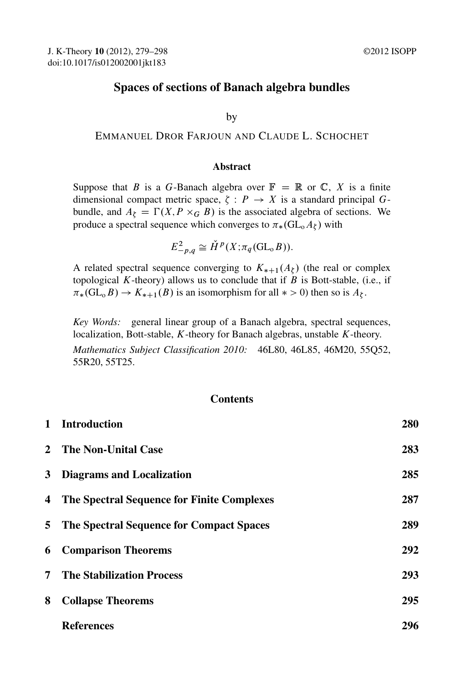# Spaces of sections of Banach algebra bundles

by

#### EMMANUEL DROR FARJOUN AND CLAUDE L. SCHOCHET

#### Abstract

Suppose that B is a G-Banach algebra over  $\mathbb{F} = \mathbb{R}$  or  $\mathbb{C}$ , X is a finite dimensional compact metric space,  $\zeta : P \to X$  is a standard principal Gbundle, and  $A_{\zeta} = \Gamma(X, P \times_G B)$  is the associated algebra of sections. We produce a spectral sequence which converges to  $\pi_*(\mathrm{GL}(\Lambda_\zeta))$  with

$$
E_{-p,q}^2 \cong \check{H}^p(X; \pi_q(\mathrm{GL}_\mathrm{o} B)).
$$

A related spectral sequence converging to  $K_{*+1}(A_\zeta)$  (the real or complex topological K-theory) allows us to conclude that if  $B$  is Bott-stable, (i.e., if  $\pi_*(\mathrm{GL}_0 B) \to K_{*+1}(B)$  is an isomorphism for all  $* > 0$ ) then so is  $A_{\zeta}$ .

*Key Words:* general linear group of a Banach algebra, spectral sequences, localization, Bott-stable, K-theory for Banach algebras, unstable K-theory. *Mathematics Subject Classification 2010:* 46L80, 46L85, 46M20, 55Q52, 55R20, 55T25.

#### **Contents**

| $\mathbf 1$    | <b>Introduction</b>                        | 280 |
|----------------|--------------------------------------------|-----|
| $2^{\circ}$    | <b>The Non-Unital Case</b>                 | 283 |
| 3              | <b>Diagrams and Localization</b>           | 285 |
| 4              | The Spectral Sequence for Finite Complexes | 287 |
| 5              | The Spectral Sequence for Compact Spaces   | 289 |
| 6              | <b>Comparison Theorems</b>                 | 292 |
| $\overline{7}$ | <b>The Stabilization Process</b>           | 293 |
| 8              | <b>Collapse Theorems</b>                   | 295 |
|                | <b>References</b>                          | 296 |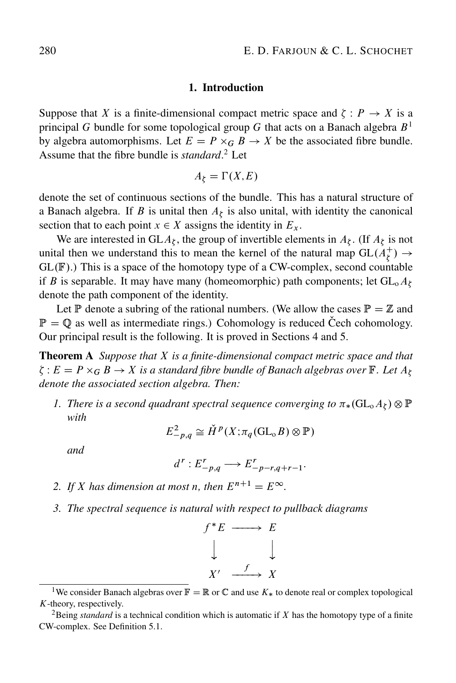#### 1. Introduction

Suppose that X is a finite-dimensional compact metric space and  $\zeta : P \to X$  is a principal G bundle for some topological group G that acts on a Banach algebra  $B<sup>1</sup>$ by algebra automorphisms. Let  $E = P \times_G B \to X$  be the associated fibre bundle. Assume that the fibre bundle is *standard*. <sup>2</sup> Let

$$
A_{\zeta} = \Gamma(X, E)
$$

denote the set of continuous sections of the bundle. This has a natural structure of a Banach algebra. If B is unital then  $A_{\xi}$  is also unital, with identity the canonical section that to each point  $x \in X$  assigns the identity in  $E_x$ .

We are interested in GL $A_{\zeta}$ , the group of invertible elements in  $A_{\zeta}$ . (If  $A_{\zeta}$  is not unital then we understand this to mean the kernel of the natural map  $GL(A_{\zeta}^+) \rightarrow$  $GL(\mathbb{F})$ .) This is a space of the homotopy type of a CW-complex, second countable if B is separable. It may have many (homeomorphic) path components; let  $GL_0A_\zeta$ denote the path component of the identity.

Let P denote a subring of the rational numbers. (We allow the cases  $\mathbb{P} = \mathbb{Z}$  and  $\mathbb{P} = \mathbb{Q}$  as well as intermediate rings.) Cohomology is reduced Cech cohomology. Our principal result is the following. It is proved in Sections 4 and 5.

Theorem A *Suppose that* X *is a finite-dimensional compact metric space and that*  $\zeta: E = P\times_G B \to X$  is a standard fibre bundle of Banach algebras over  $\Bbb{F}$ . Let  $A_\zeta$ *denote the associated section algebra. Then:*

1. There is a second quadrant spectral sequence converging to  $\pi_*(\mathrm{GL}$ <sub>0</sub> $A_{\xi})\otimes \mathbb{P}$ *with*

$$
E_{-p,q}^2 \cong \check{H}^p(X; \pi_q(\mathrm{GL}_0 B) \otimes \mathbb{P})
$$

*and*

$$
d^r: E^r_{-p,q} \longrightarrow E^r_{-p-r,q+r-1}.
$$

- *2. If X* has dimension at most *n*, then  $E^{n+1} = E^{\infty}$ .
- *3. The spectral sequence is natural with respect to pullback diagrams*



<sup>&</sup>lt;sup>1</sup>We consider Banach algebras over  $\mathbb{F} = \mathbb{R}$  or  $\mathbb{C}$  and use  $K_*$  to denote real or complex topological K-theory, respectively.

 ${}^{2}$ Being *standard* is a technical condition which is automatic if X has the homotopy type of a finite CW-complex. See Definition 5.1.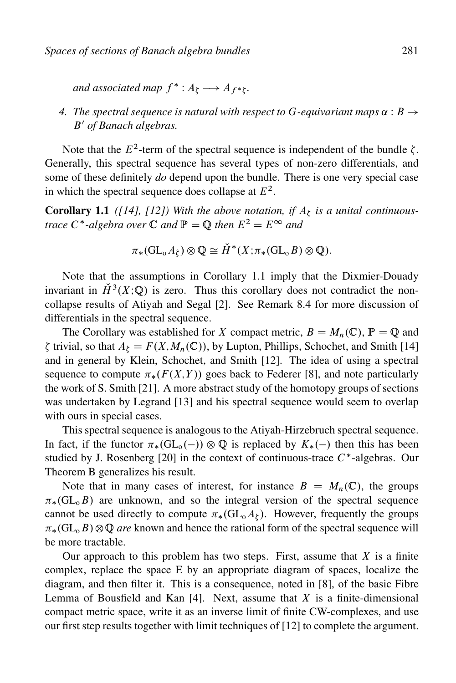and associated map  $f^* : A_{\xi} \longrightarrow A_{f^*\xi}$ .

# 4. The spectral sequence is natural with respect to G-equivariant maps  $\alpha : B \rightarrow$ B' of Banach algebras.

Note that the  $E^2$ -term of the spectral sequence is independent of the bundle  $\zeta$ . Generally, this spectral sequence has several types of non-zero differentials, and some of these definitely *do* depend upon the bundle. There is one very special case in which the spectral sequence does collapse at  $E^2$ .

**Corollary 1.1** ([14], [12]) With the above notation, if  $A_{\xi}$  is a unital continuous*trace*  $C^*$ -algebra over  $\mathbb C$  and  $\mathbb P = \mathbb Q$  then  $E^2 = E^\infty$  and

$$
\pi_*(\mathrm{GL}_\mathrm{o} A_\zeta) \otimes \mathbb{Q} \cong \check{H}^*(X;\pi_*(\mathrm{GL}_\mathrm{o} B) \otimes \mathbb{Q}).
$$

Note that the assumptions in Corollary 1.1 imply that the Dixmier-Douady invariant in  $\check{H}^3(X;\mathbb{Q})$  is zero. Thus this corollary does not contradict the noncollapse results of Atiyah and Segal [2]. See Remark 8.4 for more discussion of differentials in the spectral sequence.

The Corollary was established for X compact metric,  $B = M_n(\mathbb{C})$ ,  $\mathbb{P} = \mathbb{Q}$  and  $\zeta$  trivial, so that  $A_{\zeta} = F(X, M_n(\mathbb{C}))$ , by Lupton, Phillips, Schochet, and Smith [14] and in general by Klein, Schochet, and Smith [12]. The idea of using a spectral sequence to compute  $\pi_*(F(X,Y))$  goes back to Federer [8], and note particularly the work of S. Smith [21]. A more abstract study of the homotopy groups of sections was undertaken by Legrand [13] and his spectral sequence would seem to overlap with ours in special cases.

This spectral sequence is analogous to the Atiyah-Hirzebruch spectral sequence. In fact, if the functor  $\pi_*(\text{GL}_0(-)) \otimes \mathbb{Q}$  is replaced by  $K_*(-)$  then this has been studied by J. Rosenberg [20] in the context of continuous-trace  $C^*$ -algebras. Our Theorem B generalizes his result.

Note that in many cases of interest, for instance  $B = M_n(\mathbb{C})$ , the groups  $\pi_*(\text{GL}_0B)$  are unknown, and so the integral version of the spectral sequence cannot be used directly to compute  $\pi_*(\text{GL}_0A_\zeta)$ . However, frequently the groups  $\pi_*(\mathrm{GL}_0 B)\otimes \mathbb{Q}$  *are* known and hence the rational form of the spectral sequence will be more tractable.

Our approach to this problem has two steps. First, assume that  $X$  is a finite complex, replace the space E by an appropriate diagram of spaces, localize the diagram, and then filter it. This is a consequence, noted in [8], of the basic Fibre Lemma of Bousfield and Kan  $[4]$ . Next, assume that X is a finite-dimensional compact metric space, write it as an inverse limit of finite CW-complexes, and use our first step results together with limit techniques of [12] to complete the argument.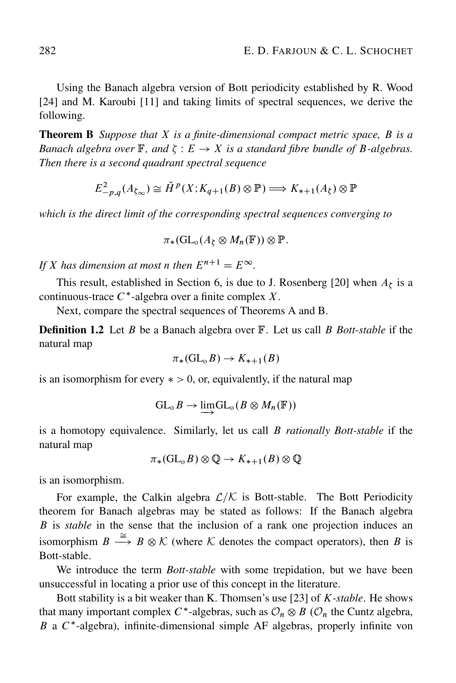Using the Banach algebra version of Bott periodicity established by R. Wood [24] and M. Karoubi [11] and taking limits of spectral sequences, we derive the following.

Theorem B *Suppose that* X *is a finite-dimensional compact metric space,* B *is a Banach algebra over*  $\mathbb{F}$ *, and*  $\zeta : E \to X$  *is a standard fibre bundle of B-algebras. Then there is a second quadrant spectral sequence*

$$
E_{-p,q}^{2}(A_{\zeta_{\infty}}) \cong \check{H}^{p}(X; K_{q+1}(B) \otimes \mathbb{P}) \Longrightarrow K_{*+1}(A_{\zeta}) \otimes \mathbb{P}
$$

*which is the direct limit of the corresponding spectral sequences converging to*

 $\pi_*(\mathrm{GL}_o(A_\zeta \otimes M_n(\mathbb{F})) \otimes \mathbb{P}.$ 

*If X* has dimension at most *n* then  $E^{n+1} = E^{\infty}$ .

This result, established in Section 6, is due to J. Rosenberg [20] when  $A_{\xi}$  is a continuous-trace  $C^*$ -algebra over a finite complex X.

Next, compare the spectral sequences of Theorems A and B.

Definition 1.2 Let B be a Banach algebra over F. Let us call B *Bott-stable* if the natural map

$$
\pi_*(\mathrm{GL}_0 B) \to K_{*+1}(B)
$$

is an isomorphism for every  $\ast > 0$ , or, equivalently, if the natural map

$$
\mathrm{GL}_{\mathrm{o}}\mathit{B}\rightarrow \varinjlim \mathrm{GL}_{\mathrm{o}}(\mathit{B}\otimes M_n(\mathbb{F}))
$$

is a homotopy equivalence. Similarly, let us call B *rationally Bott-stable* if the natural map

 $\pi_*(\mathrm{GL}_o B)\otimes \mathbb{Q} \to K_{*+1}(B)\otimes \mathbb{Q}$ 

is an isomorphism.

For example, the Calkin algebra  $\mathcal{L}/\mathcal{K}$  is Bott-stable. The Bott Periodicity theorem for Banach algebras may be stated as follows: If the Banach algebra B is *stable* in the sense that the inclusion of a rank one projection induces an isomorphism  $B \stackrel{\cong}{\longrightarrow} B \otimes \mathcal{K}$  (where  $\mathcal K$  denotes the compact operators), then B is Bott-stable.

We introduce the term *Bott-stable* with some trepidation, but we have been unsuccessful in locating a prior use of this concept in the literature.

Bott stability is a bit weaker than K. Thomsen's use [23] of K*-stable*. He shows that many important complex  $C^*$ -algebras, such as  $\mathcal{O}_n \otimes B$  ( $\mathcal{O}_n$  the Cuntz algebra,  $B$  a  $C^*$ -algebra), infinite-dimensional simple AF algebras, properly infinite von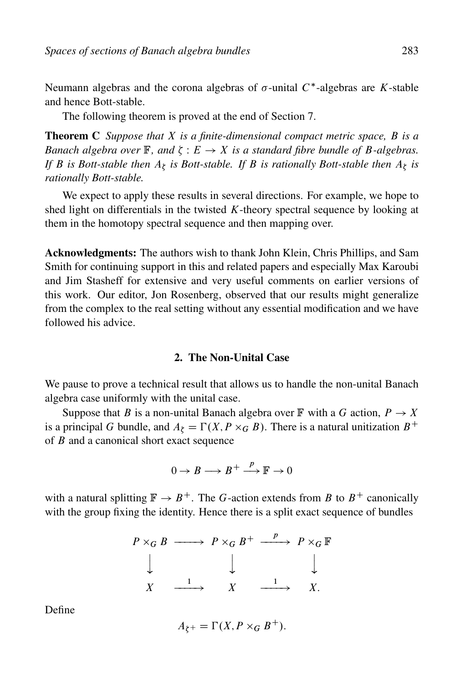Neumann algebras and the corona algebras of  $\sigma$ -unital  $C^*$ -algebras are K-stable and hence Bott-stable.

The following theorem is proved at the end of Section 7.

Theorem C *Suppose that* X *is a finite-dimensional compact metric space,* B *is a* Banach algebra over  $\mathbb{F}$ , and  $\zeta : E \to X$  is a standard fibre bundle of B-algebras. If B is Bott-stable then  $A_{\zeta}$  is Bott-stable. If B is rationally Bott-stable then  $A_{\zeta}$  is *rationally Bott-stable.*

We expect to apply these results in several directions. For example, we hope to shed light on differentials in the twisted  $K$ -theory spectral sequence by looking at them in the homotopy spectral sequence and then mapping over.

Acknowledgments: The authors wish to thank John Klein, Chris Phillips, and Sam Smith for continuing support in this and related papers and especially Max Karoubi and Jim Stasheff for extensive and very useful comments on earlier versions of this work. Our editor, Jon Rosenberg, observed that our results might generalize from the complex to the real setting without any essential modification and we have followed his advice.

## 2. The Non-Unital Case

We pause to prove a technical result that allows us to handle the non-unital Banach algebra case uniformly with the unital case.

Suppose that B is a non-unital Banach algebra over  $\mathbb F$  with a G action,  $P \to X$ is a principal G bundle, and  $A_{\xi} = \Gamma(X, P \times_G B)$ . There is a natural unitization  $B^+$ of B and a canonical short exact sequence

$$
0\to B\longrightarrow B^+\stackrel{p}{\longrightarrow} \mathbb{F}\to 0
$$

with a natural splitting  $\mathbb{F} \to B^+$ . The G-action extends from B to  $B^+$  canonically with the group fixing the identity. Hence there is a split exact sequence of bundles

$$
\begin{array}{ccccccc}\nP \times_G B & \longrightarrow & P \times_G B^+ & \xrightarrow{p} & P \times_G \mathbb{F} \\
& & \downarrow & & \downarrow & & \downarrow \\
X & \xrightarrow{1} & X & \xrightarrow{1} & X.\n\end{array}
$$

Define

$$
A_{\zeta^+} = \Gamma(X, P \times_G B^+).
$$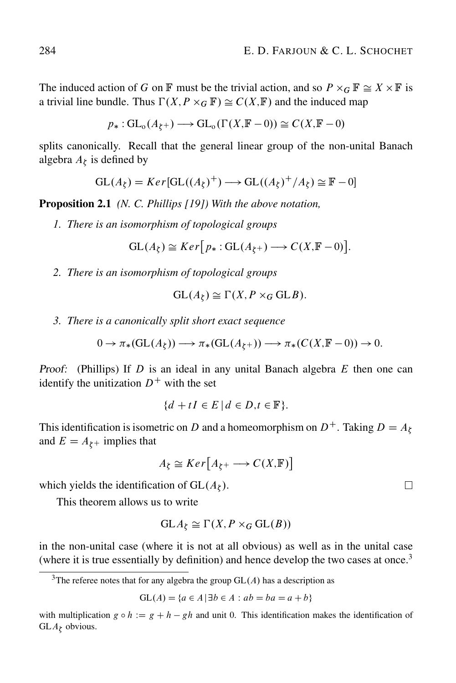The induced action of G on F must be the trivial action, and so  $P \times_G \mathbb{F} \cong X \times \mathbb{F}$  is a trivial line bundle. Thus  $\Gamma(X, P \times_G \mathbb{F}) \cong C(X, \mathbb{F})$  and the induced map

 $p_* : GL_o(A_{\xi^+}) \longrightarrow GL_o(\Gamma(X, \mathbb{F} - 0)) \cong C(X, \mathbb{F} - 0)$ 

splits canonically. Recall that the general linear group of the non-unital Banach algebra  $A_{\xi}$  is defined by

$$
GL(A_{\zeta}) = Ker[GL((A_{\zeta})^{+}) \longrightarrow GL((A_{\zeta})^{+}/A_{\zeta}) \cong \mathbb{F} - 0]
$$

Proposition 2.1 *(N. C. Phillips [19]) With the above notation,*

*1. There is an isomorphism of topological groups*

$$
GL(A_{\xi}) \cong Ker[p_*: GL(A_{\xi^+}) \longrightarrow C(X, \mathbb{F} - 0)].
$$

*2. There is an isomorphism of topological groups*

$$
GL(A_{\zeta}) \cong \Gamma(X, P \times_G GLB).
$$

*3. There is a canonically split short exact sequence*

$$
0 \to \pi_*(\mathrm{GL}(A_{\zeta})) \longrightarrow \pi_*(\mathrm{GL}(A_{\zeta^+})) \longrightarrow \pi_*(C(X, \mathbb{F} - 0)) \to 0.
$$

Proof: (Phillips) If  $D$  is an ideal in any unital Banach algebra  $E$  then one can identify the unitization  $D^+$  with the set

$$
\{d + tI \in E \mid d \in D, t \in \mathbb{F}\}.
$$

This identification is isometric on D and a homeomorphism on  $D^+$ . Taking  $D = A_{\zeta}$ and  $E = A_{\xi^+}$  implies that

$$
A_{\zeta} \cong \underline{Ker}\big[A_{\zeta^+} \longrightarrow C(X,\mathbb{F})\big]
$$

which yields the identification of  $GL(A_\zeta)$ .

This theorem allows us to write

$$
GLA_{\zeta} \cong \Gamma(X, P \times_G GL(B))
$$

in the non-unital case (where it is not at all obvious) as well as in the unital case (where it is true essentially by definition) and hence develop the two cases at once.<sup>3</sup>

$$
GL(A) = \{a \in A \mid \exists b \in A : ab = ba = a + b\}
$$

 $\Box$ 

<sup>&</sup>lt;sup>3</sup>The referee notes that for any algebra the group  $GL(A)$  has a description as

with multiplication  $g \circ h := g + h - gh$  and unit 0. This identification makes the identification of  $GLA_{\zeta}$  obvious.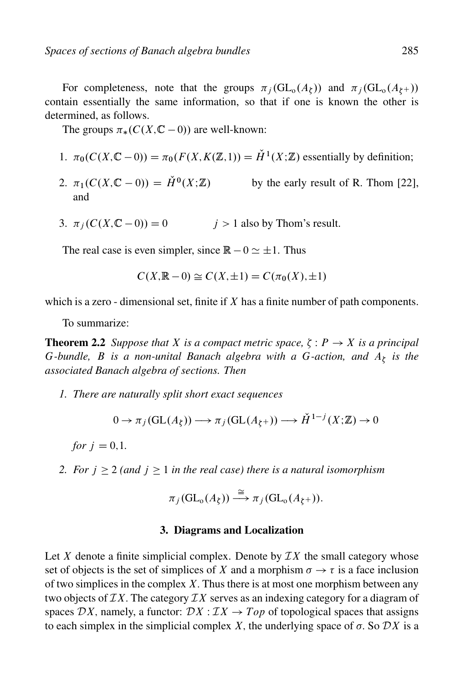For completeness, note that the groups  $\pi_j(\mathrm{GL}_o(A_\xi))$  and  $\pi_j(\mathrm{GL}_o(A_\xi+))$ contain essentially the same information, so that if one is known the other is determined, as follows.

The groups  $\pi_*(C(X, \mathbb{C} - 0))$  are well-known:

- 1.  $\pi_0(C(X,\mathbb{C}-0)) = \pi_0(F(X,K(\mathbb{Z},1))) = \check{H}^1(X;\mathbb{Z})$  essentially by definition;
- 2.  $\pi_1(C(X, \mathbb{C} 0)) = \check{H}^0(X; \mathbb{Z})$  by the early result of R. Thom [22], and
- 3.  $\pi_i(C(X,\mathbb{C}-0)) = 0$   $i > 1$  also by Thom's result.

The real case is even simpler, since  $\mathbb{R} - 0 \simeq \pm 1$ . Thus

$$
C(X, \mathbb{R} - 0) \cong C(X, \pm 1) = C(\pi_0(X), \pm 1)
$$

which is a zero - dimensional set, finite if  $X$  has a finite number of path components.

To summarize:

**Theorem 2.2** Suppose that X is a compact metric space,  $\zeta$  :  $P \rightarrow X$  is a principal G-bundle, *B* is a non-unital Banach algebra with a G-action, and  $A_{\zeta}$  is the *associated Banach algebra of sections. Then*

*1. There are naturally split short exact sequences*

$$
0 \to \pi_j(\mathrm{GL}(A_{\zeta})) \longrightarrow \pi_j(\mathrm{GL}(A_{\zeta^+})) \longrightarrow \check{H}^{1-j}(X;\mathbb{Z}) \to 0
$$

*for*  $i = 0, 1$ .

*2. For*  $j \ge 2$  (and  $j \ge 1$  *in the real case) there is a natural isomorphism* 

$$
\pi_j(\mathrm{GL}_o(A_\zeta)) \stackrel{\cong}{\longrightarrow} \pi_j(\mathrm{GL}_o(A_{\zeta^+})).
$$

#### 3. Diagrams and Localization

Let X denote a finite simplicial complex. Denote by  $\mathcal{I}X$  the small category whose set of objects is the set of simplices of X and a morphism  $\sigma \to \tau$  is a face inclusion of two simplices in the complex  $X$ . Thus there is at most one morphism between any two objects of  $IX$ . The category  $IX$  serves as an indexing category for a diagram of spaces DX, namely, a functor:  $DX : IX \rightarrow Top$  of topological spaces that assigns to each simplex in the simplicial complex X, the underlying space of  $\sigma$ . So  $\mathcal{D}X$  is a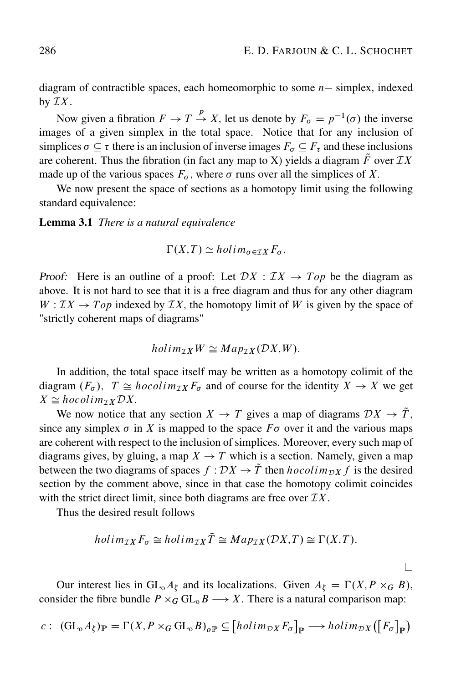diagram of contractible spaces, each homeomorphic to some  $n-$  simplex, indexed by  $\mathcal{I}X$ .

Now given a fibration  $F \to T \stackrel{p}{\to} X$ , let us denote by  $F_{\sigma} = p^{-1}(\sigma)$  the inverse images of a given simplex in the total space. Notice that for any inclusion of simplices  $\sigma \subseteq \tau$  there is an inclusion of inverse images  $F_{\sigma} \subseteq F_{\tau}$  and these inclusions are coherent. Thus the fibration (in fact any map to X) yields a diagram  $\tilde{F}$  over  $\mathcal{I}X$ made up of the various spaces  $F_{\sigma}$ , where  $\sigma$  runs over all the simplices of X.

We now present the space of sections as a homotopy limit using the following standard equivalence:

Lemma 3.1 *There is a natural equivalence*

$$
\Gamma(X,T) \simeq \text{holim}_{\sigma \in \mathcal{I} X} F_{\sigma}.
$$

Proof: Here is an outline of a proof: Let  $DX : IX \rightarrow Top$  be the diagram as above. It is not hard to see that it is a free diagram and thus for any other diagram  $W: IX \to Top$  indexed by  $IX$ , the homotopy limit of W is given by the space of "strictly coherent maps of diagrams"

$$
holim_{\mathcal{I}X}W\cong Map_{\mathcal{I}X}(\mathcal{D}X,W).
$$

In addition, the total space itself may be written as a homotopy colimit of the diagram  $(F_{\sigma})$ ,  $T \cong hocolim_{\mathcal{I}X} F_{\sigma}$  and of course for the identity  $X \to X$  we get  $X \cong hocolim_{\mathcal{I}X} \mathcal{D}X.$ 

We now notice that any section  $X \to T$  gives a map of diagrams  $DX \to T$ , since any simplex  $\sigma$  in X is mapped to the space  $F\sigma$  over it and the various maps are coherent with respect to the inclusion of simplices. Moreover, every such map of diagrams gives, by gluing, a map  $X \to T$  which is a section. Namely, given a map between the two diagrams of spaces  $f : DX \to \tilde{T}$  then  $hocolim_{\mathcal{D}X} f$  is the desired section by the comment above, since in that case the homotopy colimit coincides with the strict direct limit, since both diagrams are free over  $\mathcal{I}X$ .

Thus the desired result follows

$$
holim_{\mathcal{I}X} F_{\sigma} \cong holim_{\mathcal{I}X} \tilde{T} \cong Map_{\mathcal{I}X}(\mathcal{D}X, T) \cong \Gamma(X, T).
$$

 $\Box$ 

Our interest lies in  $GL_0A_\zeta$  and its localizations. Given  $A_\zeta = \Gamma(X, P \times_G B)$ , consider the fibre bundle  $P \times_G \mathrm{GL}_0 B \longrightarrow X$ . There is a natural comparison map:

$$
c: (\mathrm{GL}_o A_\xi)_{\mathbb{P}} = \Gamma(X, P \times_G \mathrm{GL}_o B)_{\mathfrak{O} \mathbb{P}} \subseteq [holim_{\mathcal{D}X} F_\sigma]_{\mathbb{P}} \longrightarrow holim_{\mathcal{D}X} ([F_\sigma]_{\mathbb{P}})
$$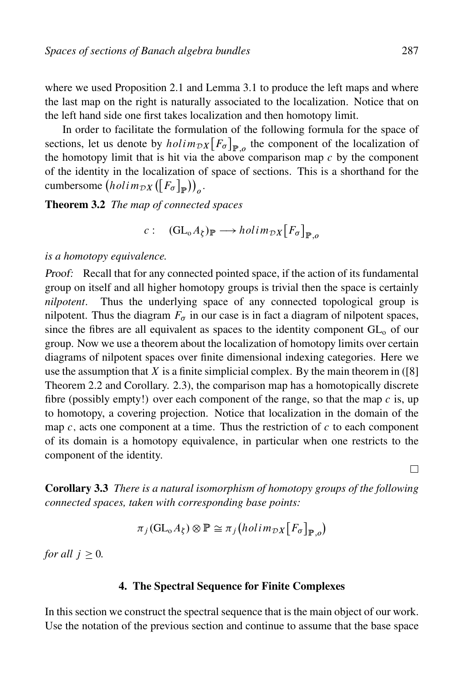where we used Proposition 2.1 and Lemma 3.1 to produce the left maps and where the last map on the right is naturally associated to the localization. Notice that on the left hand side one first takes localization and then homotopy limit.

In order to facilitate the formulation of the following formula for the space of sections, let us denote by  $holin_{\mathcal{D}X}[F_{\sigma}]_{\mathbb{P},\rho}$  the component of the localization of the homotopy limit that is hit via the above comparison map  $c$  by the component of the identity in the localization of space of sections. This is a shorthand for the cumbersome  $(holim_{\mathcal{D}X}([F_{\sigma}])$ P  $\big) \big)_{o}$ .

Theorem 3.2 *The map of connected spaces*

c :  $(\mathrm{GL}_{\mathrm{o}}A_{\xi})_{\mathbb{P}} \longrightarrow \text{holim}_{\mathcal{D}X}\big[F_{\sigma}\big]$  $_{\mathbb{P},o}$ 

*is a homotopy equivalence.*

Proof: Recall that for any connected pointed space, if the action of its fundamental group on itself and all higher homotopy groups is trivial then the space is certainly *nilpotent*. Thus the underlying space of any connected topological group is nilpotent. Thus the diagram  $F_{\sigma}$  in our case is in fact a diagram of nilpotent spaces, since the fibres are all equivalent as spaces to the identity component  $GL_0$  of our group. Now we use a theorem about the localization of homotopy limits over certain diagrams of nilpotent spaces over finite dimensional indexing categories. Here we use the assumption that  $X$  is a finite simplicial complex. By the main theorem in ([8] Theorem 2.2 and Corollary. 2.3), the comparison map has a homotopically discrete fibre (possibly empty!) over each component of the range, so that the map  $c$  is, up to homotopy, a covering projection. Notice that localization in the domain of the map  $c$ , acts one component at a time. Thus the restriction of  $c$  to each component of its domain is a homotopy equivalence, in particular when one restricts to the component of the identity.

П

Corollary 3.3 *There is a natural isomorphism of homotopy groups of the following connected spaces, taken with corresponding base points:*

$$
\pi_j(\mathrm{GL}_o A_\zeta) \otimes \mathbb{P} \cong \pi_j \big( holim_{\mathcal{D}X} [F_\sigma]_{\mathbb{P},o} \big)
$$

*for all*  $j \geq 0$ *.* 

#### 4. The Spectral Sequence for Finite Complexes

In this section we construct the spectral sequence that is the main object of our work. Use the notation of the previous section and continue to assume that the base space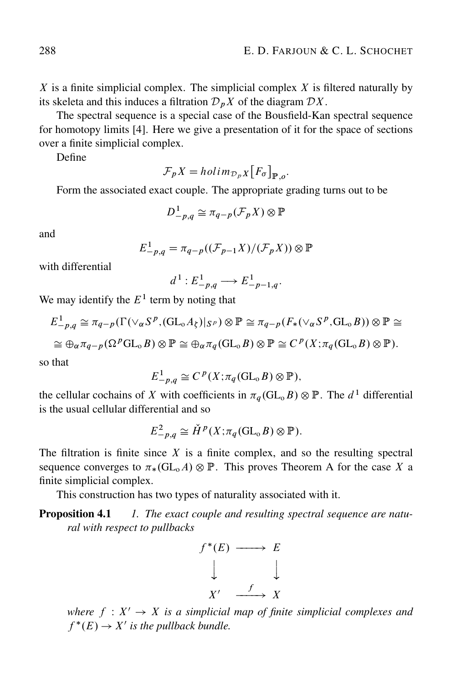$X$  is a finite simplicial complex. The simplicial complex  $X$  is filtered naturally by its skeleta and this induces a filtration  $\mathcal{D}_nX$  of the diagram  $\mathcal{D}X$ .

The spectral sequence is a special case of the Bousfield-Kan spectral sequence for homotopy limits [4]. Here we give a presentation of it for the space of sections over a finite simplicial complex.

Define

$$
\mathcal{F}_p X = \text{holim}_{\mathcal{D}_p X} [F_{\sigma}]_{\mathbb{P},o}.
$$

Form the associated exact couple. The appropriate grading turns out to be

$$
D_{-p,q}^1 \cong \pi_{q-p}(\mathcal{F}_p X) \otimes \mathbb{P}
$$

and

$$
E_{-p,q}^1 = \pi_{q-p}((\mathcal{F}_{p-1}X)/(\mathcal{F}_pX)) \otimes \mathbb{P}
$$

with differential

$$
d^1: E^1_{-p,q} \longrightarrow E^1_{-p-1,q}.
$$

We may identify the  $E<sup>1</sup>$  term by noting that

$$
E_{-p,q}^{1} \cong \pi_{q-p}(\Gamma(\vee_{\alpha}S^{p},(\text{GL}_{\alpha}A_{\xi})|_{S^{p}}) \otimes \mathbb{P} \cong \pi_{q-p}(F_{*}(\vee_{\alpha}S^{p},\text{GL}_{\alpha}B)) \otimes \mathbb{P} \cong
$$
  

$$
\cong \oplus_{\alpha} \pi_{q-p}(\Omega^{p}\text{GL}_{\alpha}B) \otimes \mathbb{P} \cong \oplus_{\alpha} \pi_{q}(\text{GL}_{\alpha}B) \otimes \mathbb{P} \cong C^{p}(X; \pi_{q}(\text{GL}_{\alpha}B) \otimes \mathbb{P}).
$$

so that

$$
E_{-p,q}^{1} \cong C^{p}(X; \pi_{q}(\mathrm{GL}_{o}B) \otimes \mathbb{P}),
$$

the cellular cochains of X with coefficients in  $\pi_q(\mathrm{GL}_0B)\otimes \mathbb{P}$ . The  $d^1$  differential is the usual cellular differential and so

$$
E_{-p,q}^2 \cong \check{H}^p(X; \pi_q(\mathrm{GL}_0 B) \otimes \mathbb{P}).
$$

The filtration is finite since  $X$  is a finite complex, and so the resulting spectral sequence converges to  $\pi_*(\text{GL}_0A)\otimes \mathbb{P}$ . This proves Theorem A for the case X a finite simplicial complex.

This construction has two types of naturality associated with it.

Proposition 4.1 *1. The exact couple and resulting spectral sequence are natural with respect to pullbacks*



*where*  $f : X' \to X$  *is a simplicial map of finite simplicial complexes and*  $f^*(E) \to X'$  is the pullback bundle.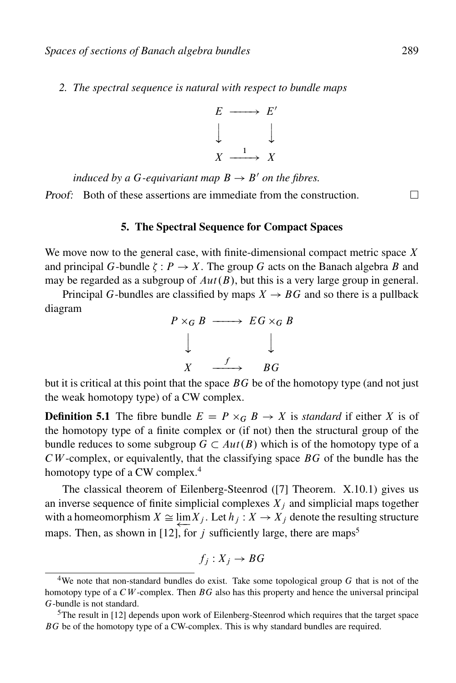*2. The spectral sequence is natural with respect to bundle maps*



*induced by a G-equivariant map*  $B \rightarrow B'$  *on the fibres.* Proof: Both of these assertions are immediate from the construction.

## 5. The Spectral Sequence for Compact Spaces

We move now to the general case, with finite-dimensional compact metric space  $X$ and principal G-bundle  $\zeta : P \to X$ . The group G acts on the Banach algebra B and may be regarded as a subgroup of  $Aut(B)$ , but this is a very large group in general.

Principal G-bundles are classified by maps  $X \rightarrow BG$  and so there is a pullback diagram



but it is critical at this point that the space  $BG$  be of the homotopy type (and not just the weak homotopy type) of a CW complex.

**Definition 5.1** The fibre bundle  $E = P \times_G B \to X$  is *standard* if either X is of the homotopy type of a finite complex or (if not) then the structural group of the bundle reduces to some subgroup  $G \subset Aut(B)$  which is of the homotopy type of a  $CW$ -complex, or equivalently, that the classifying space  $BG$  of the bundle has the homotopy type of a CW complex.<sup>4</sup>

The classical theorem of Eilenberg-Steenrod ([7] Theorem. X.10.1) gives us an inverse sequence of finite simplicial complexes  $X_i$  and simplicial maps together with a homeomorphism  $X \cong \lim X_j$ . Let  $h_j : X \to X_j$  denote the resulting structure maps. Then, as shown in [12], for j sufficiently large, there are maps<sup>5</sup>

$$
f_j: X_j \to BG
$$

 $\Box$ 

<sup>&</sup>lt;sup>4</sup>We note that non-standard bundles do exist. Take some topological group  $G$  that is not of the homotopy type of a  $\mathcal{C}W$ -complex. Then  $\mathcal{B}G$  also has this property and hence the universal principal G-bundle is not standard.

<sup>5</sup>The result in [12] depends upon work of Eilenberg-Steenrod which requires that the target space BG be of the homotopy type of a CW-complex. This is why standard bundles are required.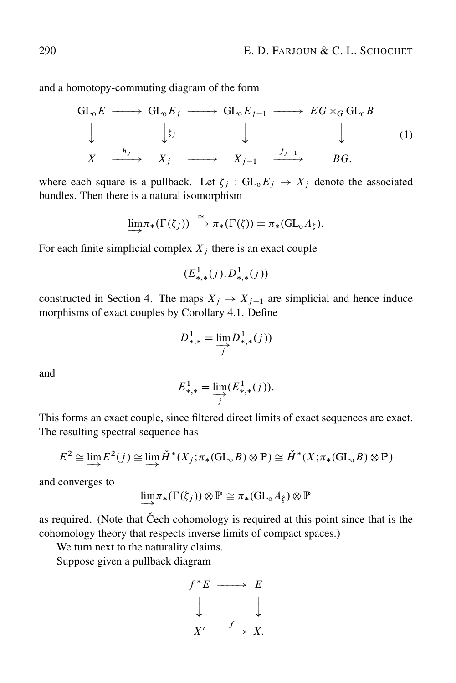and a homotopy-commuting diagram of the form

$$
\begin{array}{ccccccc}\nGL_0E & \longrightarrow & GL_0E_j & \longrightarrow & GL_0E_{j-1} & \longrightarrow & EG \times_G GL_0B \\
\downarrow & & \downarrow_{\xi_j} & & \downarrow & & \downarrow & & (1) \\
X & \xrightarrow{h_j} & X_j & \longrightarrow & X_{j-1} & \xrightarrow{f_{j-1}} & BG.\n\end{array}
$$

where each square is a pullback. Let  $\zeta_j : GL_0E_j \to X_j$  denote the associated bundles. Then there is a natural isomorphism

$$
\lim_{\longrightarrow} \pi_*(\Gamma(\zeta_j)) \stackrel{\cong}{\longrightarrow} \pi_*(\Gamma(\zeta)) \equiv \pi_*(\mathrm{GL}_0 A_{\zeta}).
$$

For each finite simplicial complex  $X_i$  there is an exact couple

$$
(E^1_{*,*}(j), D^1_{*,*}(j))
$$

constructed in Section 4. The maps  $X_j \to X_{j-1}$  are simplicial and hence induce morphisms of exact couples by Corollary 4.1. Define

$$
D_{*,*}^1 = \varinjlim_j D_{*,*}^1(j))
$$

and

$$
E_{*,*}^1 = \varinjlim_j (E_{*,*}^1(j)).
$$

This forms an exact couple, since filtered direct limits of exact sequences are exact. The resulting spectral sequence has

$$
E^2 \cong \varinjlim E^2(j) \cong \varinjlim \check{H}^*(X_j; \pi_*(\mathrm{GL}_0 B) \otimes \mathbb{P}) \cong \check{H}^*(X; \pi_*(\mathrm{GL}_0 B) \otimes \mathbb{P})
$$

and converges to

$$
\lim_{\longrightarrow} \pi_*(\Gamma(\zeta_j)) \otimes \mathbb{P} \cong \pi_*(\mathrm{GL}_0A_{\zeta}) \otimes \mathbb{P}
$$

as required. (Note that Čech cohomology is required at this point since that is the cohomology theory that respects inverse limits of compact spaces.)

We turn next to the naturality claims.

Suppose given a pullback diagram

$$
f^*E \longrightarrow E
$$
  

$$
\downarrow \qquad \qquad \downarrow
$$
  

$$
X' \xrightarrow{f} X.
$$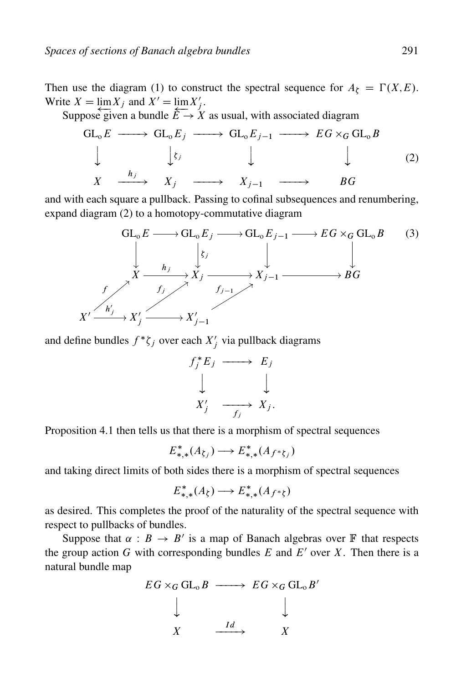Then use the diagram (1) to construct the spectral sequence for  $A_{\zeta} = \Gamma(X,E)$ . Write  $X = \lim_{i \to \infty} X_j$  and  $X' = \lim_{i \to \infty} X'_j$ .

Suppose given a bundle  $\vec{E} \rightarrow X$  as usual, with associated diagram

$$
\begin{array}{ccccccc}\nGL_0E & \longrightarrow & GL_0E_j & \longrightarrow & GL_0E_{j-1} & \longrightarrow & EG \times_G GL_0B \\
\downarrow & & \downarrow_{\xi_j} & & \downarrow & & \downarrow & & \downarrow & & (2) \\
X & \xrightarrow{h_j} & X_j & \longrightarrow & X_{j-1} & \longrightarrow & BG\n\end{array}
$$

and with each square a pullback. Passing to cofinal subsequences and renumbering, expand diagram (2) to a homotopy-commutative diagram



and define bundles  $f^*\zeta_j$  over each  $X'_j$  via pullback diagrams

$$
f_j^* E_j \longrightarrow E_j
$$
  
\n
$$
\downarrow \qquad \qquad \downarrow
$$
  
\n
$$
X'_j \longrightarrow X_j.
$$

Proposition 4.1 then tells us that there is a morphism of spectral sequences

$$
E_{*,*}^*(A_{\zeta_j}) \longrightarrow E_{*,*}^*(A_{f^*\zeta_j})
$$

and taking direct limits of both sides there is a morphism of spectral sequences

$$
E_{*,*}^*(A_{\xi}) \longrightarrow E_{*,*}^*(A_{f^*\xi})
$$

as desired. This completes the proof of the naturality of the spectral sequence with respect to pullbacks of bundles.

Suppose that  $\alpha : B \to B'$  is a map of Banach algebras over F that respects the group action G with corresponding bundles  $E$  and  $E'$  over  $X$ . Then there is a natural bundle map

$$
EG \times_G GL_0 B \longrightarrow EG \times_G GL_0 B'
$$
  
\n
$$
\downarrow \qquad \qquad \downarrow
$$
\n
$$
X \longrightarrow \frac{Id}{X} \longrightarrow X
$$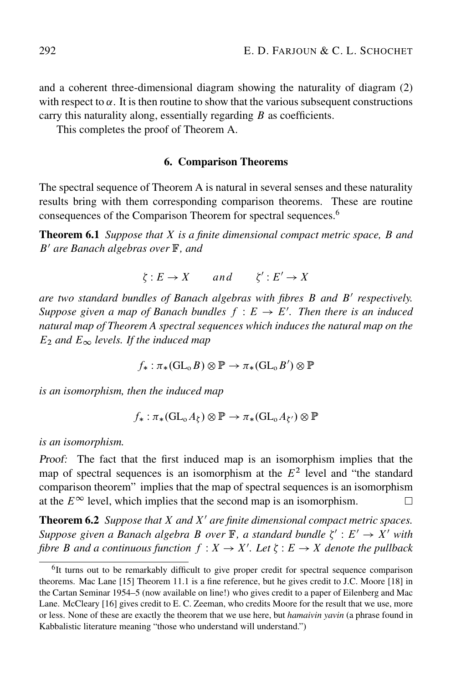and a coherent three-dimensional diagram showing the naturality of diagram (2) with respect to  $\alpha$ . It is then routine to show that the various subsequent constructions carry this naturality along, essentially regarding  $B$  as coefficients.

This completes the proof of Theorem A.

#### 6. Comparison Theorems

The spectral sequence of Theorem A is natural in several senses and these naturality results bring with them corresponding comparison theorems. These are routine consequences of the Comparison Theorem for spectral sequences.<sup>6</sup>

Theorem 6.1 *Suppose that* X *is a finite dimensional compact metric space,* B *and* B<sup>0</sup> *are Banach algebras over* F*, and*

$$
\zeta: E \to X \qquad and \qquad \zeta': E' \to X
$$

*are two standard bundles of Banach algebras with fibres B and B' respectively.* Suppose given a map of Banach bundles  $f : E \to E'$ . Then there is an induced *natural map of Theorem A spectral sequences which induces the natural map on the*  $E_2$  *and*  $E_{\infty}$  *levels. If the induced map* 

$$
f_*: \pi_*(\mathop{\operatorname {GL}}\nolimits_\mathrm o B)\otimes\mathbb P\to \pi_*(\mathop{\operatorname {GL}}\nolimits_\mathrm o B')\otimes\mathbb P
$$

*is an isomorphism, then the induced map*

$$
f_*: \pi_*(\mathrm{GL}_0A_{\zeta}) \otimes \mathbb{P} \to \pi_*(\mathrm{GL}_0A_{\zeta'}) \otimes \mathbb{P}
$$

*is an isomorphism.*

Proof: The fact that the first induced map is an isomorphism implies that the map of spectral sequences is an isomorphism at the  $E<sup>2</sup>$  level and "the standard" comparison theorem" implies that the map of spectral sequences is an isomorphism at the  $E^{\infty}$  level, which implies that the second map is an isomorphism.

**Theorem 6.2** *Suppose that* X and X' are finite dimensional compact metric spaces. Suppose given a Banach algebra B over  $\mathbb{F}$ , a standard bundle  $\zeta' : E' \to X'$  with fibre *B* and a continuous function  $f: X \to X'$ . Let  $\zeta: E \to X$  denote the pullback

<sup>6</sup>It turns out to be remarkably difficult to give proper credit for spectral sequence comparison theorems. Mac Lane [15] Theorem 11.1 is a fine reference, but he gives credit to J.C. Moore [18] in the Cartan Seminar 1954–5 (now available on line!) who gives credit to a paper of Eilenberg and Mac Lane. McCleary [16] gives credit to E. C. Zeeman, who credits Moore for the result that we use, more or less. None of these are exactly the theorem that we use here, but *hamaivin yavin* (a phrase found in Kabbalistic literature meaning "those who understand will understand.")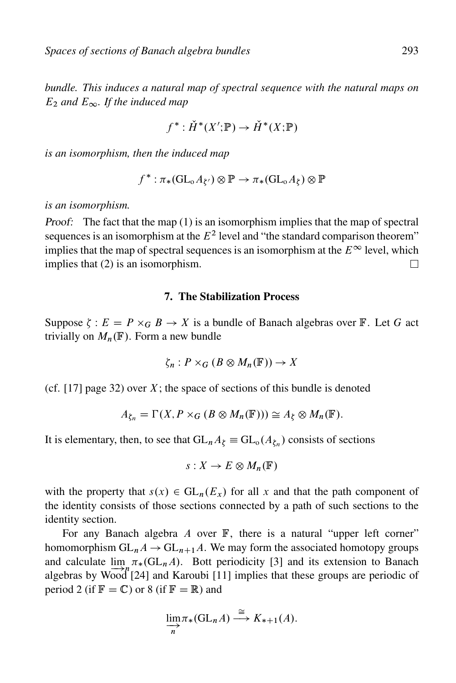*bundle. This induces a natural map of spectral sequence with the natural maps on*  $E_2$  *and*  $E_{\infty}$ . If the induced map

$$
f^*: \check{H}^*(X'; \mathbb{P}) \to \check{H}^*(X; \mathbb{P})
$$

*is an isomorphism, then the induced map*

$$
f^* : \pi_*(\mathrm{GL}_oA_{\xi'}) \otimes \mathbb{P} \to \pi_*(\mathrm{GL}_oA_{\xi}) \otimes \mathbb{P}
$$

*is an isomorphism.*

Proof: The fact that the map (1) is an isomorphism implies that the map of spectral sequences is an isomorphism at the  $E<sup>2</sup>$  level and "the standard comparison theorem" implies that the map of spectral sequences is an isomorphism at the  $E^{\infty}$  level, which implies that (2) is an isomorphism.  $\Box$ 

#### 7. The Stabilization Process

Suppose  $\zeta : E = P \times_G B \to X$  is a bundle of Banach algebras over  $\mathbb{F}$ . Let G act trivially on  $M_n(\mathbb{F})$ . Form a new bundle

$$
\zeta_n: P\times_G (B\otimes M_n(\mathbb{F}))\to X
$$

(cf. [17] page 32) over  $X$ ; the space of sections of this bundle is denoted

$$
A_{\zeta_n} = \Gamma(X, P \times_G (B \otimes M_n(\mathbb{F}))) \cong A_{\zeta} \otimes M_n(\mathbb{F}).
$$

It is elementary, then, to see that  $GL_nA_\zeta \equiv GL_o(A_{\zeta_n})$  consists of sections

$$
s: X \to E \otimes M_n(\mathbb{F})
$$

with the property that  $s(x) \in GL_n(E_x)$  for all x and that the path component of the identity consists of those sections connected by a path of such sections to the identity section.

For any Banach algebra  $A$  over  $\mathbb{F}$ , there is a natural "upper left corner" homomorphism  $GL_nA \to GL_{n+1}A$ . We may form the associated homotopy groups and calculate  $\lim_{n \to \infty} \pi_*(\mathrm{GL}_n A)$ . Bott periodicity [3] and its extension to Banach algebras by Wood [24] and Karoubi [11] implies that these groups are periodic of period 2 (if  $\mathbb{F} = \mathbb{C}$ ) or 8 (if  $\mathbb{F} = \mathbb{R}$ ) and

$$
\lim_{n \to \infty} \pi_*(\mathrm{GL}_n A) \xrightarrow{\cong} K_{*+1}(A).
$$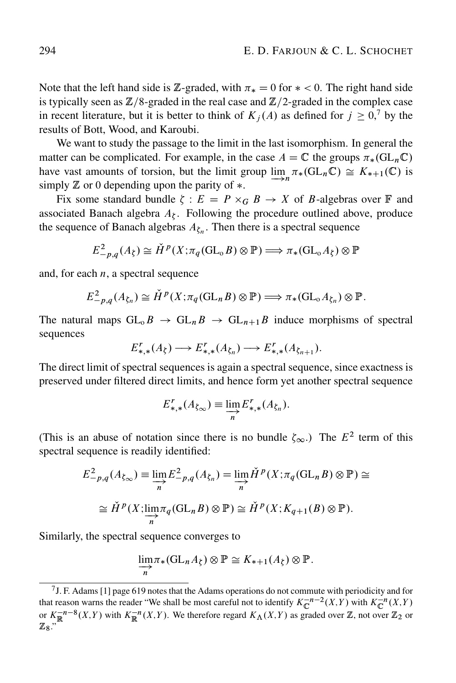Note that the left hand side is Z-graded, with  $\pi_* = 0$  for  $* < 0$ . The right hand side is typically seen as  $\mathbb{Z}/8$ -graded in the real case and  $\mathbb{Z}/2$ -graded in the complex case in recent literature, but it is better to think of  $K_j(A)$  as defined for  $j \geq 0$ , by the results of Bott, Wood, and Karoubi.

We want to study the passage to the limit in the last isomorphism. In general the matter can be complicated. For example, in the case  $A = \mathbb{C}$  the groups  $\pi_*(\mathrm{GL}_n\mathbb{C})$ have vast amounts of torsion, but the limit group  $\lim_{n \to \infty} \pi_*(\mathrm{GL}_n \mathbb{C}) \cong K_{*+1}(\mathbb{C})$  is simply  $\mathbb Z$  or 0 depending upon the parity of  $\ast$ .

Fix some standard bundle  $\zeta : E = P \times_G B \to X$  of B-algebras over  $\mathbb F$  and associated Banach algebra  $A_{\zeta}$ . Following the procedure outlined above, produce the sequence of Banach algebras  $A_{\xi_n}$ . Then there is a spectral sequence

$$
E_{-p,q}^2(A_\zeta) \cong \check{H}^p(X; \pi_q(\mathrm{GL}_0 B) \otimes \mathbb{P}) \Longrightarrow \pi_*(\mathrm{GL}_0 A_\zeta) \otimes \mathbb{P}
$$

and, for each  $n$ , a spectral sequence

$$
E_{-p,q}^2(A_{\zeta_n}) \cong \check{H}^p(X; \pi_q(\mathrm{GL}_n B) \otimes \mathbb{P}) \Longrightarrow \pi_*(\mathrm{GL}_o A_{\zeta_n}) \otimes \mathbb{P}.
$$

The natural maps  $GL_0B \to GL_nB \to GL_{n+1}B$  induce morphisms of spectral sequences

$$
E_{*,*}^r(A_\xi) \longrightarrow E_{*,*}^r(A_{\xi_n}) \longrightarrow E_{*,*}^r(A_{\xi_{n+1}}).
$$

The direct limit of spectral sequences is again a spectral sequence, since exactness is preserved under filtered direct limits, and hence form yet another spectral sequence

$$
E_{*,*}^r(A_{\zeta_{\infty}}) \equiv \varinjlim_n E_{*,*}^r(A_{\zeta_n}).
$$

(This is an abuse of notation since there is no bundle  $\zeta_{\infty}$ .) The  $E^2$  term of this spectral sequence is readily identified:

$$
E_{-p,q}^{2}(A_{\zeta_{\infty}}) \equiv \varinjlim_{n} E_{-p,q}^{2}(A_{\zeta_{n}}) = \varinjlim_{n} \check{H}^{p}(X; \pi_{q}(\mathrm{GL}_{n}B) \otimes \mathbb{P}) \cong
$$
  

$$
\cong \check{H}^{p}(X; \varinjlim_{n} \pi_{q}(\mathrm{GL}_{n}B) \otimes \mathbb{P}) \cong \check{H}^{p}(X; K_{q+1}(B) \otimes \mathbb{P}).
$$

Similarly, the spectral sequence converges to

$$
\lim_{n \to \infty} \pi_*(\mathrm{GL}_n A_{\zeta}) \otimes \mathbb{P} \cong K_{*+1}(A_{\zeta}) \otimes \mathbb{P}.
$$

<sup>7</sup>J. F. Adams [1] page 619 notes that the Adams operations do not commute with periodicity and for that reason warns the reader "We shall be most careful not to identify  $K_{\mathbb{C}}^{-n-2}(X,Y)$  with  $K_{\mathbb{C}}^{-n}(X,Y)$ or  $K_{\mathbb{R}}^{-n-8}(X,Y)$  with  $K_{\mathbb{R}}^{-n}(X,Y)$ . We therefore regard  $K_{\Lambda}(X,Y)$  as graded over  $\mathbb{Z}$ , not over  $\mathbb{Z}_2$  or  $\mathbb{Z}_8$ ."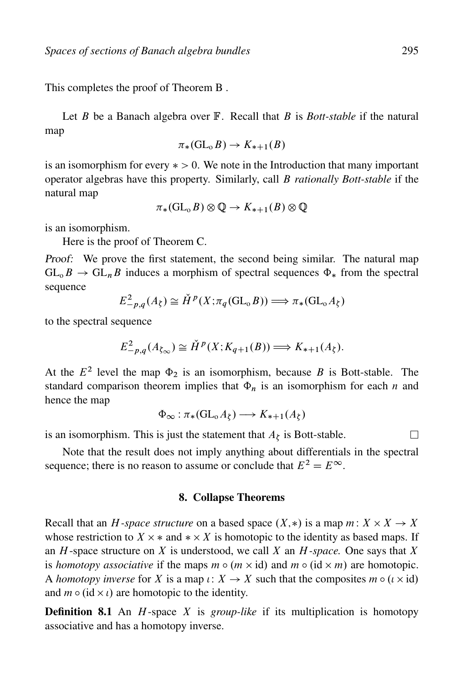This completes the proof of Theorem B .

Let *B* be a Banach algebra over **F**. Recall that *B* is *Bott-stable* if the natural map

$$
\pi_*(\mathrm{GL}_0 B) \to K_{*+1}(B)
$$

is an isomorphism for every  $\ast > 0$ . We note in the Introduction that many important operator algebras have this property. Similarly, call B *rationally Bott-stable* if the natural map

$$
\pi_*(\mathop{\rm GL}\nolimits_\mathrm{o} B)\otimes\mathbb Q\to K_{*+1}(B)\otimes\mathbb Q
$$

is an isomorphism.

Here is the proof of Theorem C.

Proof: We prove the first statement, the second being similar. The natural map  $GL_0B \to GL_nB$  induces a morphism of spectral sequences  $\Phi_*$  from the spectral sequence

$$
E_{-p,q}^{2}(A_{\zeta}) \cong \check{H}^{p}(X; \pi_{q}(\mathrm{GL}_{0}B)) \Longrightarrow \pi_{*}(\mathrm{GL}_{0}A_{\zeta})
$$

to the spectral sequence

$$
E_{-p,q}^{2}(A_{\zeta_{\infty}}) \cong \check{H}^{p}(X; K_{q+1}(B)) \Longrightarrow K_{*+1}(A_{\zeta}).
$$

At the  $E^2$  level the map  $\Phi_2$  is an isomorphism, because B is Bott-stable. The standard comparison theorem implies that  $\Phi_n$  is an isomorphism for each n and hence the map

$$
\Phi_{\infty} : \pi_*(\mathrm{GL}_0A_{\zeta}) \longrightarrow K_{*+1}(A_{\zeta})
$$

is an isomorphism. This is just the statement that  $A_{\xi}$  is Bott-stable.

Note that the result does not imply anything about differentials in the spectral sequence; there is no reason to assume or conclude that  $E^2 = E^{\infty}$ .

## 8. Collapse Theorems

Recall that an *H*-space structure on a based space  $(X, *)$  is a map  $m: X \times X \rightarrow X$ whose restriction to  $X \times *$  and  $* \times X$  is homotopic to the identity as based maps. If an H-space structure on X is understood, we call X an H*-space.* One says that X is *homotopy associative* if the maps  $m \circ (m \times id)$  and  $m \circ (id \times m)$  are homotopic. A *homotopy inverse* for X is a map  $\iota: X \to X$  such that the composites  $m \circ (\iota \times id)$ and  $m \circ (\mathrm{id} \times \iota)$  are homotopic to the identity.

**Definition 8.1** An *H*-space *X* is *group-like* if its multiplication is homotopy associative and has a homotopy inverse.

П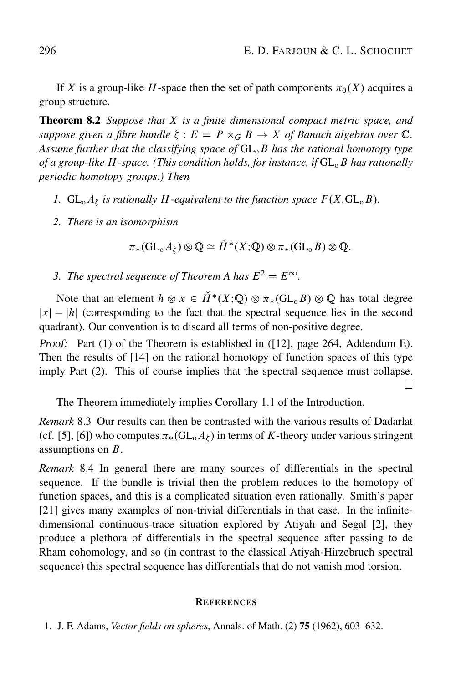If X is a group-like H-space then the set of path components  $\pi_0(X)$  acquires a group structure.

Theorem 8.2 *Suppose that* X *is a finite dimensional compact metric space, and* suppose given a fibre bundle  $\zeta : E = P \times_G B \to X$  of Banach algebras over  $\mathbb{C}$ . Assume further that the classifying space of  $GL_0B$  has the rational homotopy type *of a group-like H-space. (This condition holds, for instance, if*  $GL_6B$  *has rationally periodic homotopy groups.) Then*

- *1.*  $GL_0A_\zeta$  is rationally H-equivalent to the function space  $F(X, GL_0B)$ .
- *2. There is an isomorphism*

$$
\pi_*(\mathrm{GL}_oA_\zeta)\otimes \mathbb{Q}\cong \check{H}^*(X;\mathbb{Q})\otimes \pi_*(\mathrm{GL}_oB)\otimes \mathbb{Q}.
$$

*3. The spectral sequence of Theorem A has*  $E^2 = E^{\infty}$ .

Note that an element  $h \otimes x \in \check{H}^*(X; \mathbb{Q}) \otimes \pi_*(\mathrm{GL}_0 B) \otimes \mathbb{Q}$  has total degree  $|x| - |h|$  (corresponding to the fact that the spectral sequence lies in the second quadrant). Our convention is to discard all terms of non-positive degree.

Proof: Part (1) of the Theorem is established in ([12], page 264, Addendum E). Then the results of [14] on the rational homotopy of function spaces of this type imply Part (2). This of course implies that the spectral sequence must collapse.  $\Box$ 

The Theorem immediately implies Corollary 1.1 of the Introduction.

*Remark* 8.3 Our results can then be contrasted with the various results of Dadarlat (cf. [5], [6]) who computes  $\pi_*(\mathrm{GL}$ <sub>0</sub> $A_\zeta)$  in terms of K-theory under various stringent assumptions on B.

*Remark* 8.4 In general there are many sources of differentials in the spectral sequence. If the bundle is trivial then the problem reduces to the homotopy of function spaces, and this is a complicated situation even rationally. Smith's paper [21] gives many examples of non-trivial differentials in that case. In the infinitedimensional continuous-trace situation explored by Atiyah and Segal [2], they produce a plethora of differentials in the spectral sequence after passing to de Rham cohomology, and so (in contrast to the classical Atiyah-Hirzebruch spectral sequence) this spectral sequence has differentials that do not vanish mod torsion.

#### **REFERENCES**

1. J. F. Adams, *Vector fields on spheres*, Annals. of Math. (2) 75 (1962), 603–632.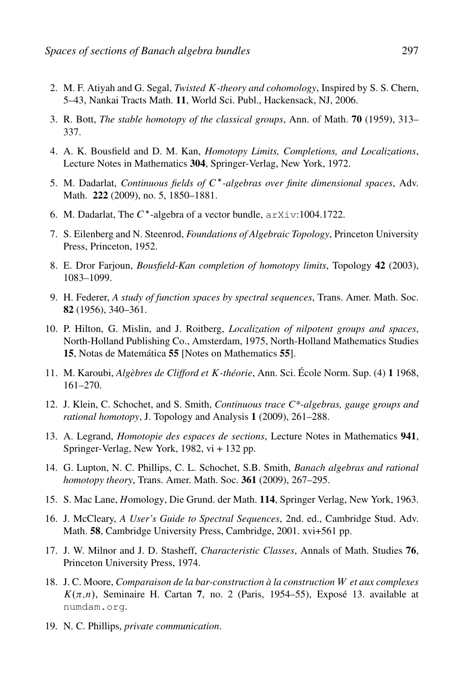- 2. M. F. Atiyah and G. Segal, *Twisted* K*-theory and cohomology*, Inspired by S. S. Chern, 5–43, Nankai Tracts Math. 11, World Sci. Publ., Hackensack, NJ, 2006.
- 3. R. Bott, *The stable homotopy of the classical groups*, Ann. of Math. 70 (1959), 313– 337.
- 4. A. K. Bousfield and D. M. Kan, *Homotopy Limits, Completions, and Localizations*, Lecture Notes in Mathematics 304, Springer-Verlag, New York, 1972.
- 5. M. Dadarlat, *Continuous fields of* C<sup>\*</sup>-algebras over finite dimensional spaces, Adv. Math. 222 (2009), no. 5, 1850–1881.
- 6. M. Dadarlat, The  $C^*$ -algebra of a vector bundle,  $arXiv:1004.1722$ .
- 7. S. Eilenberg and N. Steenrod, *Foundations of Algebraic Topology*, Princeton University Press, Princeton, 1952.
- 8. E. Dror Farjoun, *Bousfield-Kan completion of homotopy limits*, Topology 42 (2003), 1083–1099.
- 9. H. Federer, *A study of function spaces by spectral sequences*, Trans. Amer. Math. Soc. 82 (1956), 340–361.
- 10. P. Hilton, G. Mislin, and J. Roitberg, *Localization of nilpotent groups and spaces*, North-Holland Publishing Co., Amsterdam, 1975, North-Holland Mathematics Studies 15, Notas de Matemática 55 [Notes on Mathematics 55].
- 11. M. Karoubi, *Algèbres de Clifford et* K*-théorie*, Ann. Sci. École Norm. Sup. (4) 1 1968, 161–270.
- 12. J. Klein, C. Schochet, and S. Smith, *Continuous trace C\*-algebras, gauge groups and rational homotopy*, J. Topology and Analysis 1 (2009), 261–288.
- 13. A. Legrand, *Homotopie des espaces de sections*, Lecture Notes in Mathematics 941, Springer-Verlag, New York, 1982, vi + 132 pp.
- 14. G. Lupton, N. C. Phillips, C. L. Schochet, S.B. Smith, *Banach algebras and rational homotopy theory*, Trans. Amer. Math. Soc. 361 (2009), 267–295.
- 15. S. Mac Lane, *H*omology, Die Grund. der Math. 114, Springer Verlag, New York, 1963.
- 16. J. McCleary, *A User's Guide to Spectral Sequences*, 2nd. ed., Cambridge Stud. Adv. Math. 58, Cambridge University Press, Cambridge, 2001. xvi+561 pp.
- 17. J. W. Milnor and J. D. Stasheff, *Characteristic Classes*, Annals of Math. Studies 76, Princeton University Press, 1974.
- 18. J. C. Moore, *Comparaison de la bar-construction à la construction* W *et aux complexes*  $K(\pi,n)$ , Seminaire H. Cartan 7, no. 2 (Paris, 1954–55), Exposé 13. available at numdam.org.
- 19. N. C. Phillips, *private communication*.